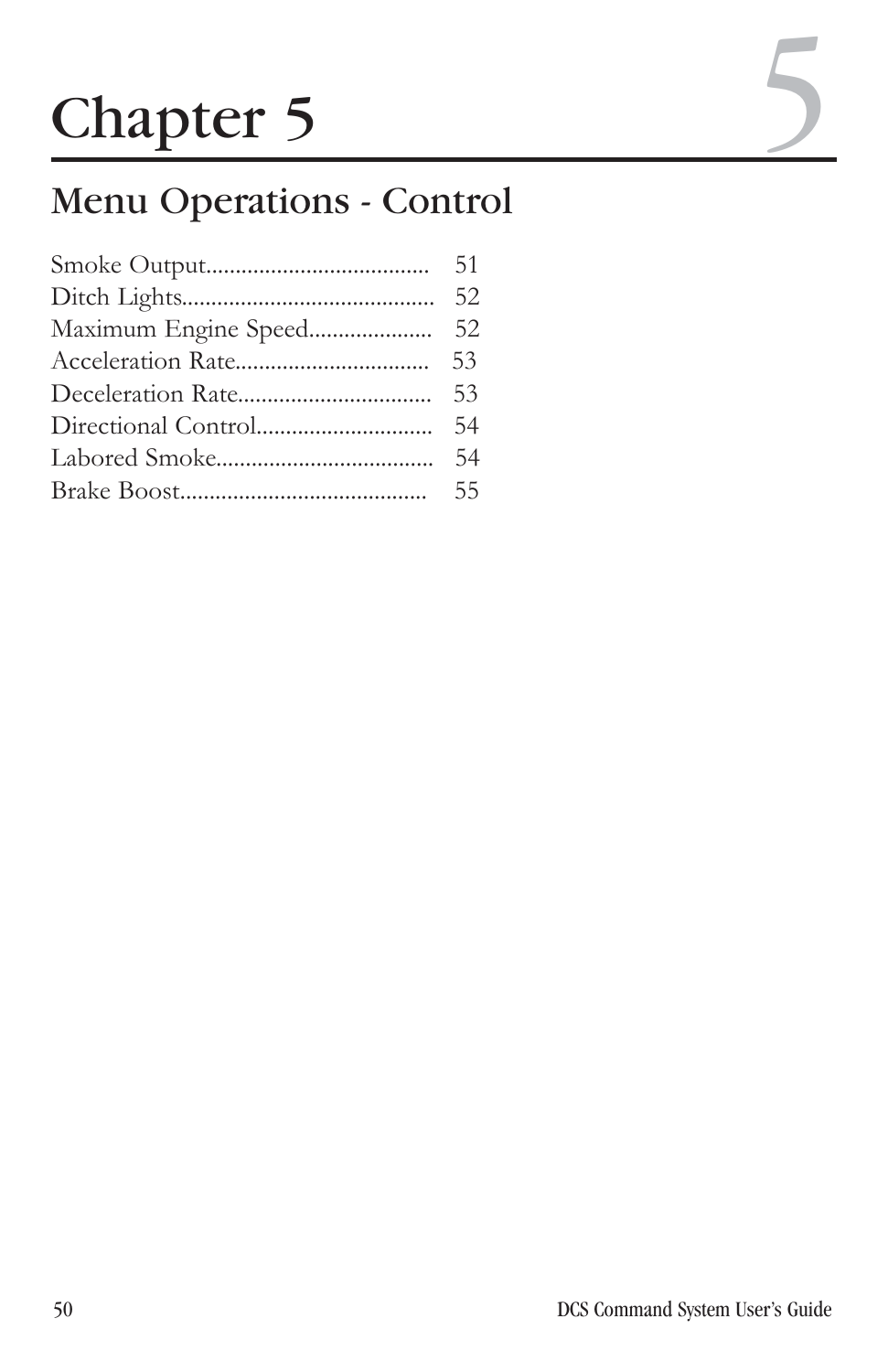# Chapter 5

# Menu Operations - Control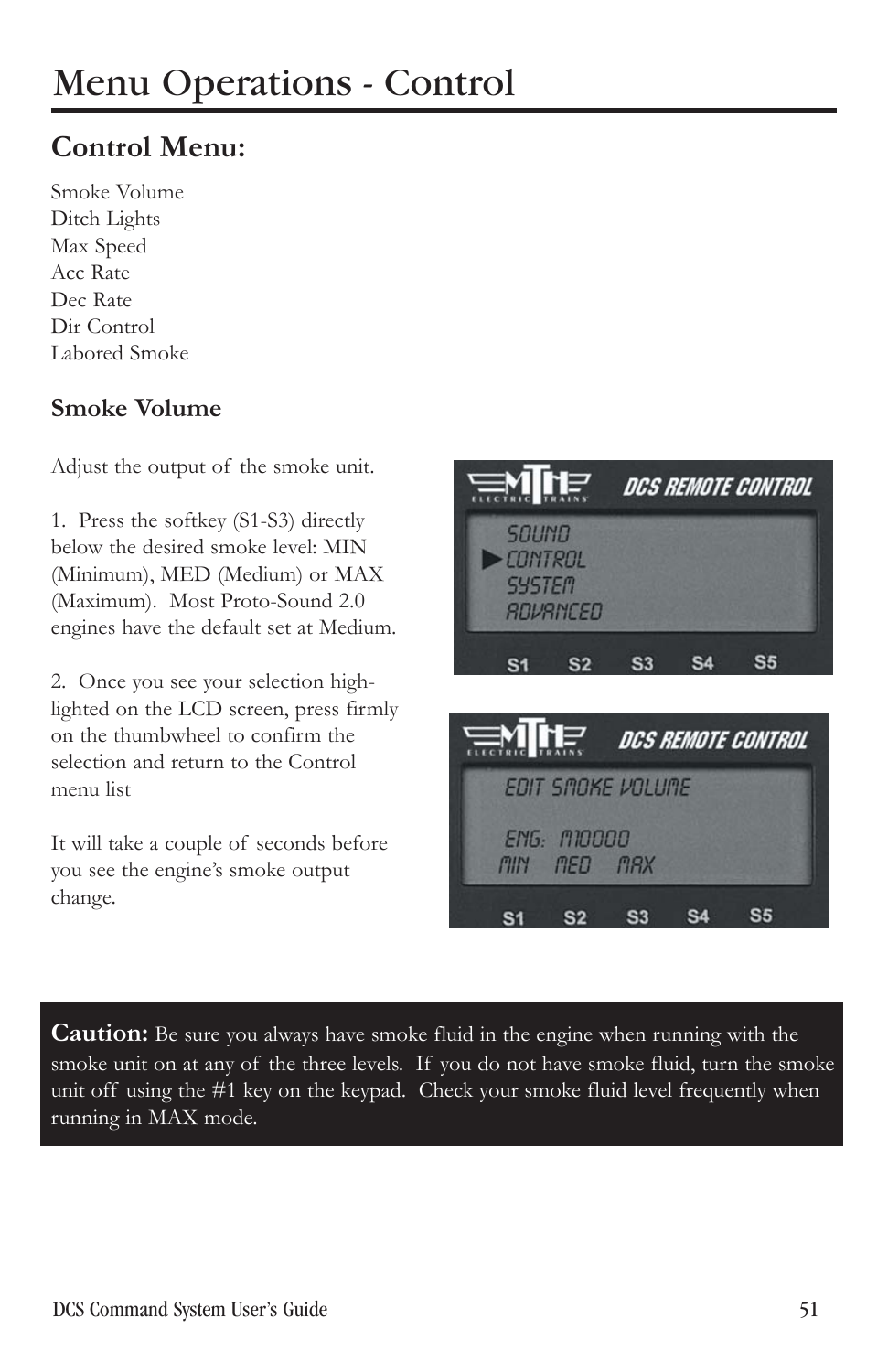#### **Control Menu:**

Smoke Volume Ditch Lights Max Speed Acc Rate Dec Rate Dir Control Labored Smoke

#### **Smoke Volume**

Adjust the output of the smoke unit.

1. Press the softkey (S1-S3) directly below the desired smoke level: MIN (Minimum), MED (Medium) or MAX (Maximum). Most Proto-Sound 2.0 engines have the default set at Medium.

2. Once you see your selection highlighted on the LCD screen, press firmly on the thumbwheel to confirm the selection and return to the Control menu list

It will take a couple of seconds before you see the engine's smoke output change.



**Caution:** Be sure you always have smoke fluid in the engine when running with the smoke unit on at any of the three levels. If you do not have smoke fluid, turn the smoke unit off using the #1 key on the keypad. Check your smoke fluid level frequently when running in MAX mode.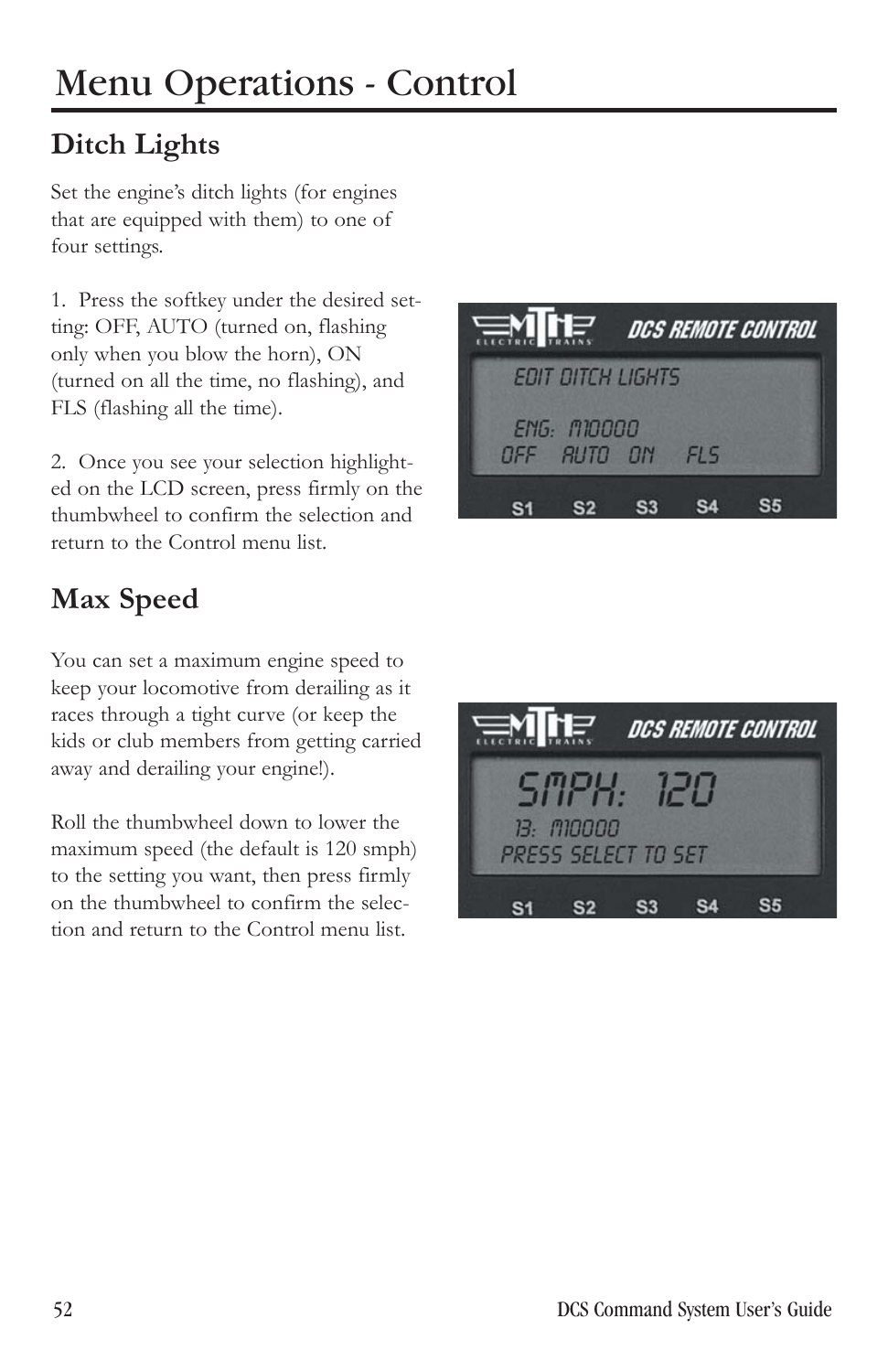#### **Ditch Lights**

Set the engine's ditch lights (for engines that are equipped with them) to one of four settings.

1. Press the softkey under the desired setting: OFF, AUTO (turned on, flashing only when you blow the horn), ON (turned on all the time, no flashing), and FLS (flashing all the time).

2. Once you see your selection highlighted on the LCD screen, press firmly on the thumbwheel to confirm the selection and return to the Control menu list.

#### **Max Speed**

You can set a maximum engine speed to keep your locomotive from derailing as it races through a tight curve (or keep the kids or club members from getting carried away and derailing your engine!).

Roll the thumbwheel down to lower the maximum speed (the default is 120 smph) to the setting you want, then press firmly on the thumbwheel to confirm the selection and return to the Control menu list.

| $M$ $\equiv$ $\sim$ DCS REMOTE CONTROL |                                       |  |  |
|----------------------------------------|---------------------------------------|--|--|
|                                        | <b>EDIT DITCH LIGHTS</b>              |  |  |
|                                        | <b>ENG: MIOOOO</b><br>OFF AUTO ON FLS |  |  |
|                                        |                                       |  |  |

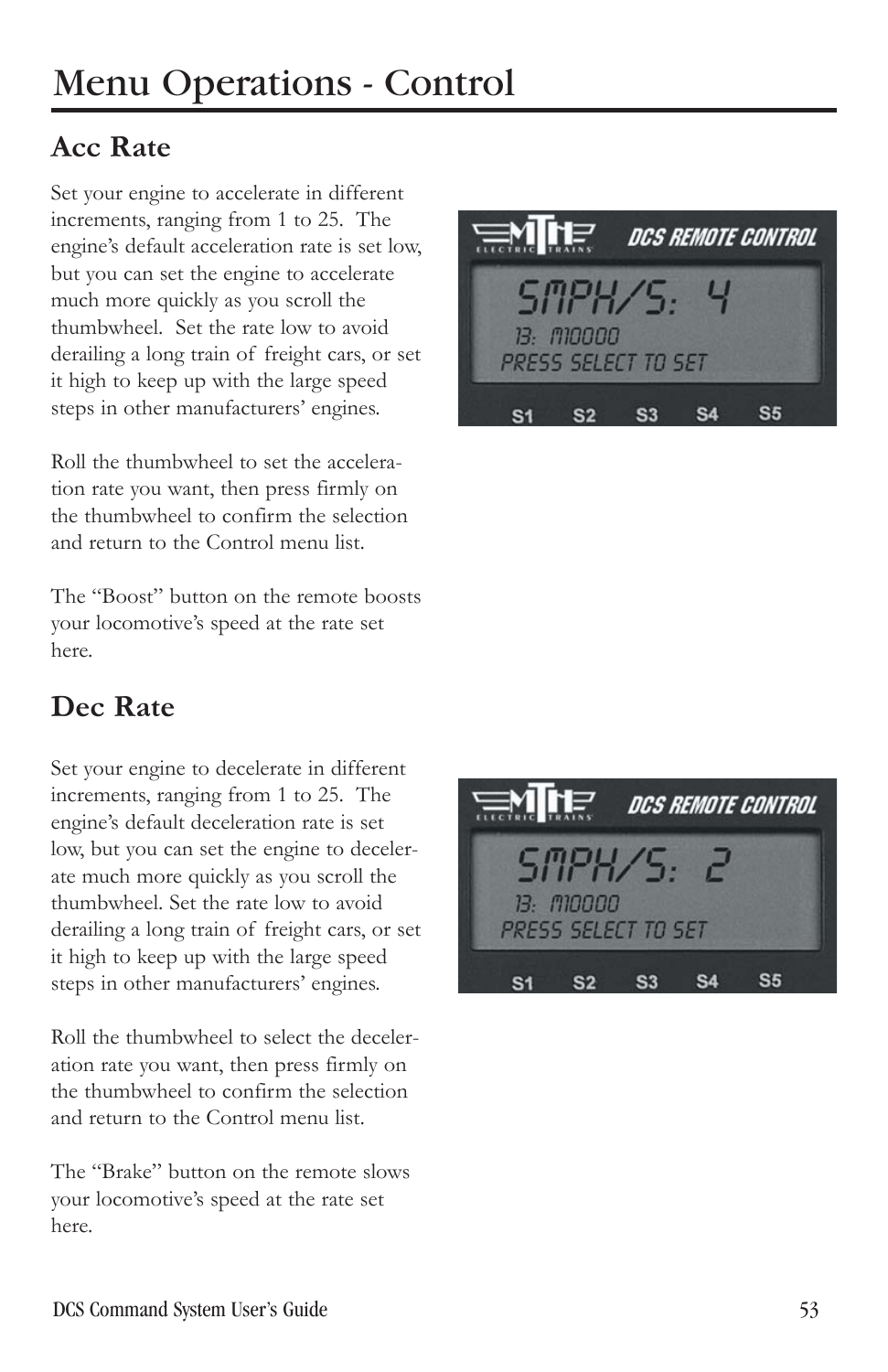#### **Acc Rate**

Set your engine to accelerate in different increments, ranging from 1 to 25. The engine's default acceleration rate is set low, but you can set the engine to accelerate much more quickly as you scroll the thumbwheel. Set the rate low to avoid derailing a long train of freight cars, or set it high to keep up with the large speed steps in other manufacturers' engines.

Roll the thumbwheel to set the acceleration rate you want, then press firmly on the thumbwheel to confirm the selection and return to the Control menu list.

The "Boost" button on the remote boosts your locomotive's speed at the rate set here.



#### **Dec Rate**

Set your engine to decelerate in different increments, ranging from 1 to 25. The engine's default deceleration rate is set low, but you can set the engine to decelerate much more quickly as you scroll the thumbwheel. Set the rate low to avoid derailing a long train of freight cars, or set it high to keep up with the large speed steps in other manufacturers' engines.

Roll the thumbwheel to select the deceleration rate you want, then press firmly on the thumbwheel to confirm the selection and return to the Control menu list.

The "Brake" button on the remote slows your locomotive's speed at the rate set here.

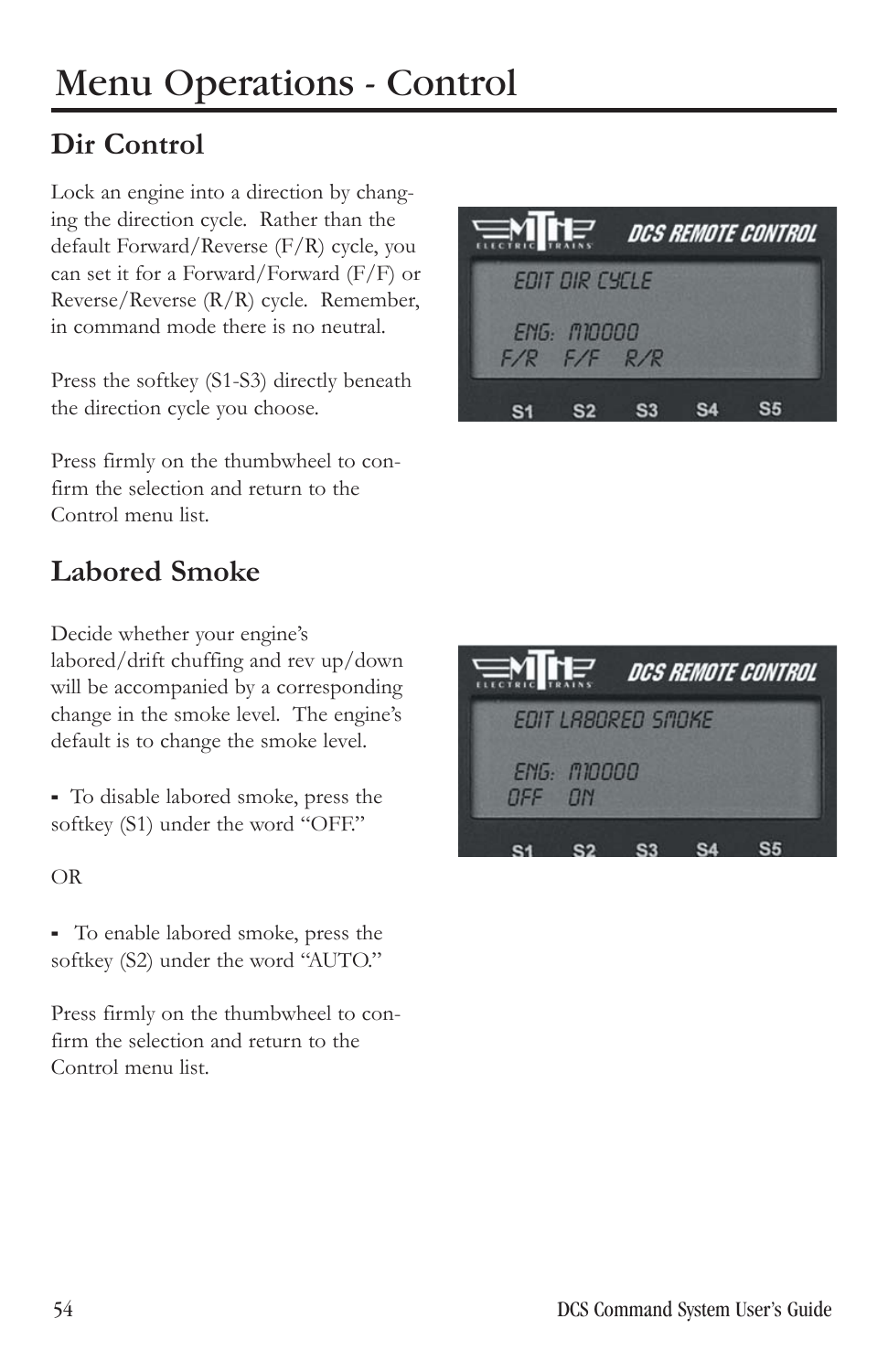## **Dir Control**

Lock an engine into a direction by changing the direction cycle. Rather than the default Forward/Reverse (F/R) cycle, you can set it for a Forward/Forward (F/F) or Reverse/Reverse (R/R) cycle. Remember, in command mode there is no neutral.

Press the softkey (S1-S3) directly beneath the direction cycle you choose.

Press firmly on the thumbwheel to confirm the selection and return to the Control menu list.

### **Labored Smoke**

Decide whether your engine's labored/drift chuffing and rev up/down will be accompanied by a corresponding change in the smoke level. The engine's default is to change the smoke level.

- To disable labored smoke, press the softkey (S1) under the word "OFF."

#### OR

- To enable labored smoke, press the softkey (S2) under the word "AUTO."

Press firmly on the thumbwheel to confirm the selection and return to the Control menu list.